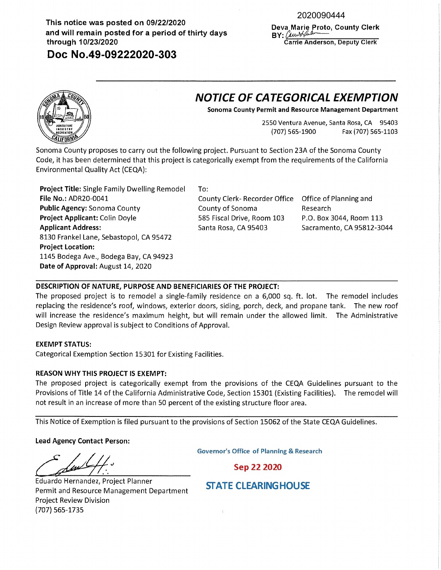# **This notice was posted on 09/22/2020 and will remain posted for a period of thirty days through 10/23/2020**

**Doc No.49-09222020-303** 

# 2020090444

**Deva Marie Proto, County Clerk**   $BY:$  *Carry of ander* **Carrie Anderson, Deputy Clerk** 

# **NOTICE OF CATEGORICAL EXEMPTION**

**Sonoma County Permit and Resource Management Department** 

2550 Ventura Avenue, Santa Rosa, CA 95403 (707) 565-1900 Fax (707) 565-1103

Sonoma County proposes to carry out the following project. Pursuant to Section 23A of the Sonoma County Code, it has been determined that this project is categorically exempt from the requirements of the California Environmental Quality Act (CEQA):

**Project Title:** Single Family Dwelling Remodel To: **File No.:** ADR20-0041 County Clerk- Recorder Office Office of Planning and **Public Agency:** Sonoma County **Project Applicant:** Colin Doyle **Applicant Address:**  8130 Frankel Lane, Sebastopol, CA 95472 **Project Location:**  1145 Bodega Ave., Bodega Bay, CA 94923 **Date of Approval:** August 14, 2020

County of Sonoma 585 Fiscal Drive, Room 103 Santa Rosa, CA 95403

Research P.O. Box 3044, Room 113 Sacramento, CA 95812-3044

# **DESCRIPTION OF NATURE, PURPOSE AND BENEFICIARIES OF THE PROJECT:**

The proposed project is to remodel a single-family residence on a 6,000 sq. ft. lot. The remodel includes replacing the residence's roof, windows, exterior doors, siding, porch, deck, and propane tank. The new roof will increase the residence's maximum height, but will remain under the allowed limit. The Administrative Design Review approval is subject to Conditions of Approval.

## **EXEMPT STATUS:**

Categorical Exemption Section 15301 for Existing Facilities.

## **REASON WHY THIS PROJECT IS EXEMPT:**

The proposed project is categorically exempt from the provisions of the CEQA Guidelines pursuant to the Provisions of Title 14 of the California Administrative Code, Section 15301 (Existing Facilities). The remodel will not result in an increase of more than 50 percent of the existing structure floor area.

This Notice of Exemption is filed pursuant to the provisions of Section 15062 of the State CEQA Guidelines.

**Lead Agency Contact Person:** 

Lead Agency Contact Person:

Sep 22 2020

Eduardo Hernandez, Project Planner Permit and Resource Management Department Project Review Division (707) 565-1735

**STATE CLEARINGHOUSE**